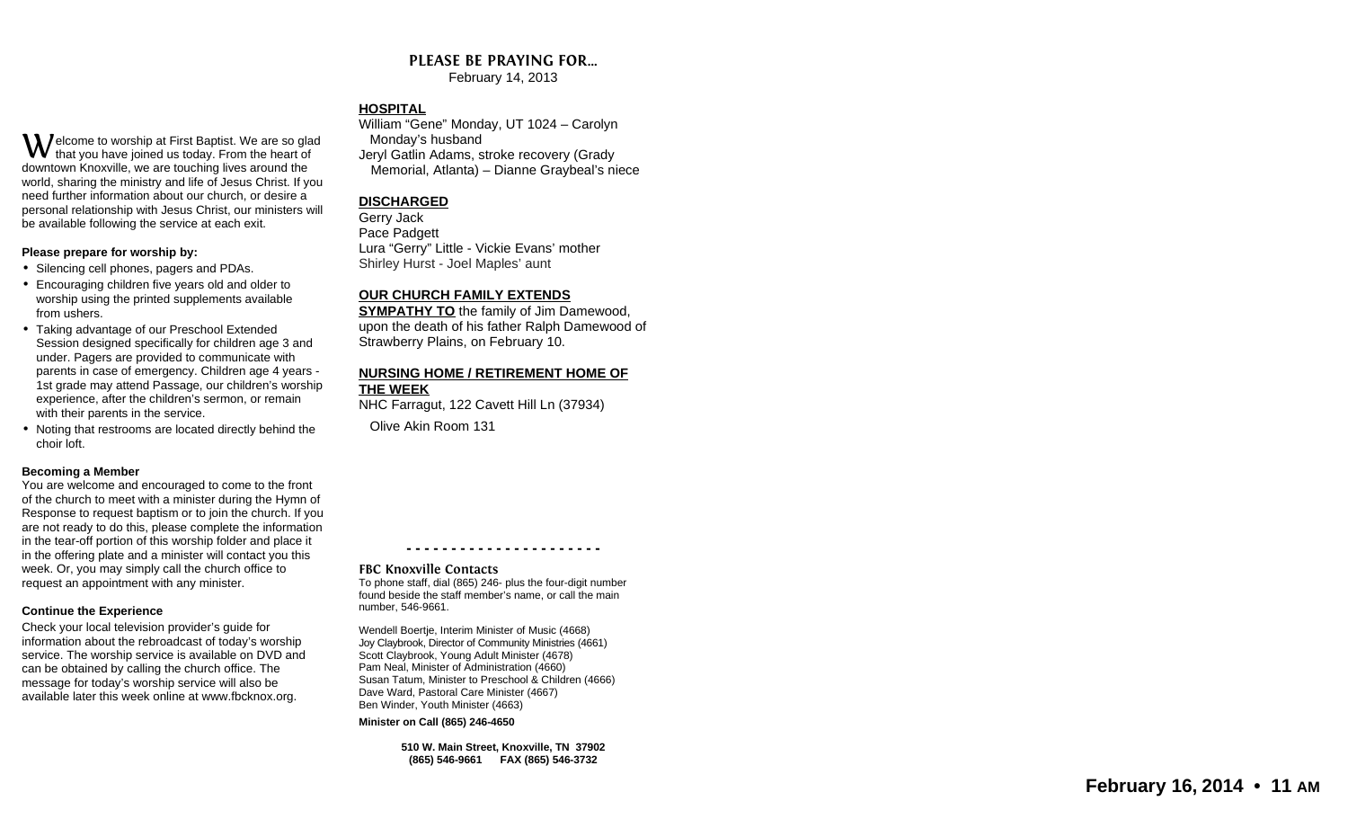#### **PLEASE BE PRAYING FOR…**

February 14, 2013

#### **HOSPITAL**

 $\mathbf W$ elcome to worship at First Baptist. We are so glad that you have joined us today. From the heart of downtown Knoxville, we are touching lives around the world, sharing the ministry and life of Jesus Christ. If you need further information about our church, or desire a personal relationship with Jesus Christ, our ministers will be available following the service at each exit.

#### **Please prepare for worship by:**

- Silencing cell phones, pagers and PDAs.
- Encouraging children five years old and older to worship using the printed supplements available from ushers.
- Taking advantage of our Preschool Extended Session designed specifically for children age 3 and under. Pagers are provided to communicate with parents in case of emergency. Children age 4 years - 1st grade may attend Passage, our children's worship experience, after the children's sermon, or remain with their parents in the service.
- Noting that restrooms are located directly behind the choir loft.

#### **Becoming a Member**

 You are welcome and encouraged to come to the front of the church to meet with a minister during the Hymn of Response to request baptism or to join the church. If you are not ready to do this, please complete the information in the tear-off portion of this worship folder and place it in the offering plate and a minister will contact you this week. Or, you may simply call the church office to request an appointment with any minister.

#### **Continue the Experience**

Check your local television provider's guide for information about the rebroadcast of today's worship service. The worship service is available on DVD and can be obtained by calling the church office. The message for today's worship service will also be available later this week online at www.fbcknox.org.

#### William "Gene" Monday, UT 1024 – Carolyn Monday's husband Jeryl Gatlin Adams, stroke recovery (Grady Memorial, Atlanta) – Dianne Graybeal's niece

#### **DISCHARGED**

Gerry Jack Pace Padgett Lura "Gerry" Little - Vickie Evans' mother Shirley Hurst - Joel Maples' aunt

#### **OUR CHURCH FAMILY EXTENDS**

 **SYMPATHY TO** the family of Jim Damewood, upon the death of his father Ralph Damewood of Strawberry Plains, on February 10.

#### **NURSING HOME / RETIREMENT HOME OF THE WEEK**

 NHC Farragut, 122 Cavett Hill Ln (37934) Olive Akin Room 131

**- - - - - - - - - - - - - - - - - - - - - -** 

#### **FBC Knoxville Contacts**

 To phone staff, dial (865) 246- plus the four-digit number found beside the staff member's name, or call the main number, 546-9661.

Wendell Boertje, Interim Minister of Music (4668) Joy Claybrook, Director of Community Ministries (4661) Scott Claybrook, Young Adult Minister (4678) Pam Neal, Minister of Administration (4660) Susan Tatum, Minister to Preschool & Children (4666) Dave Ward, Pastoral Care Minister (4667) Ben Winder, Youth Minister (4663)

**Minister on Call (865) 246-4650** 

**510 W. Main Street, Knoxville, TN 37902 (865) 546-9661 FAX (865) 546-3732**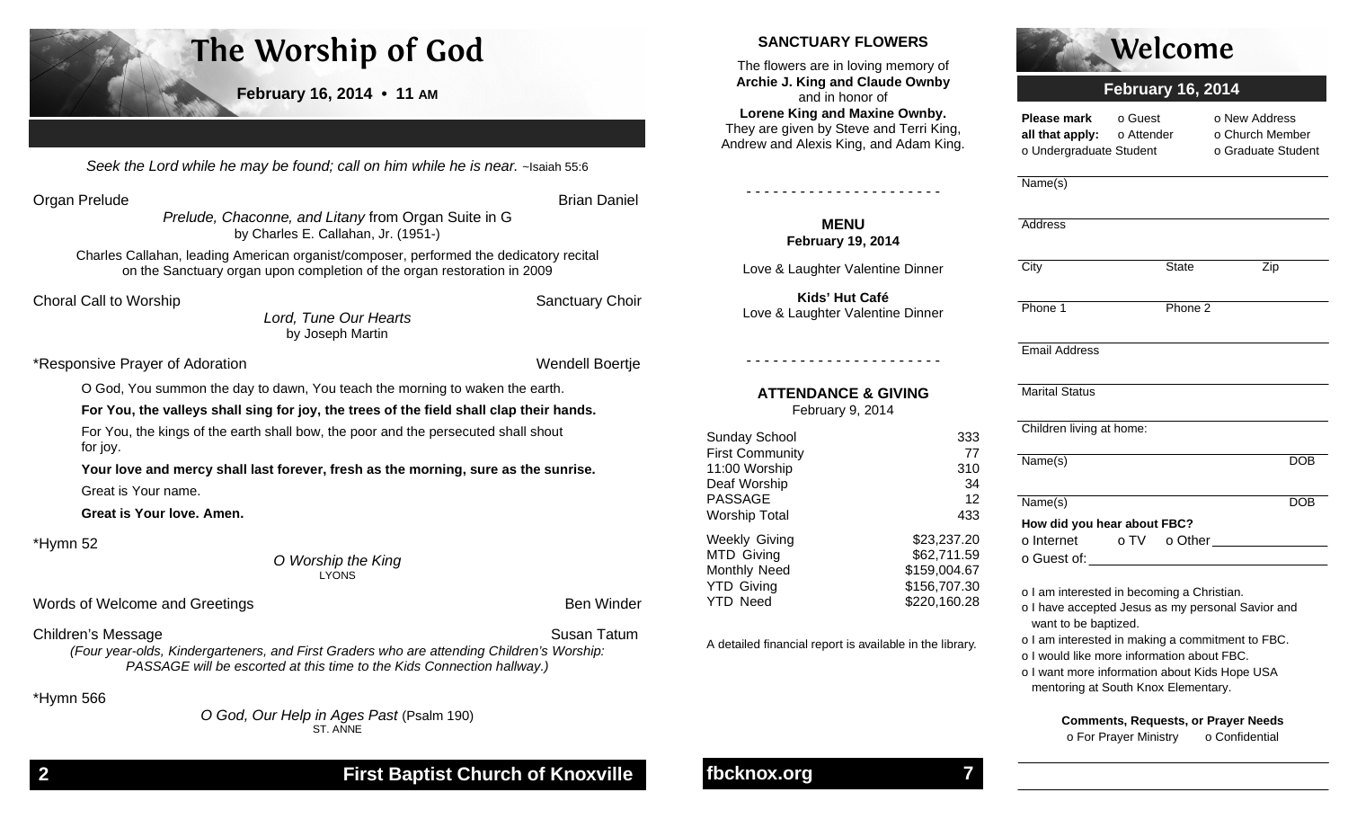# **The Worship of God**

**February 16, 2014 • 11 AM**

Seek the Lord while he may be found; call on him while he is near. ~Isaiah 55:6

Organ Prelude **Brian Daniel Brian Daniel Brian Daniel Brian Daniel Brian Daniel Brian Daniel Brian Daniel Brian Daniel Brian Daniel Brian Daniel Brian Daniel Brian Daniel Brian Daniel Brian Daniel Brian Daniel Brian Daniel** 

Prelude, Chaconne, and Litany from Organ Suite in G by Charles E. Callahan, Jr. (1951-)

Charles Callahan, leading American organist/composer, performed the dedicatory recital on the Sanctuary organ upon completion of the organ restoration in 2009

**Choral Call to Worship Sanctuary Choir** Sanctuary Choir

Lord, Tune Our Hearts by Joseph Martin

\*Responsive Prayer of Adoration

Wendell Boertje

O God, You summon the day to dawn, You teach the morning to waken the earth.

**For You, the valleys shall sing for joy, the trees of the field shall clap their hands.** 

 For You, the kings of the earth shall bow, the poor and the persecuted shall shout for joy.

**Your love and mercy shall last forever, fresh as the morning, sure as the sunrise.** Great is Your name.

**Great is Your love. Amen.**

\*Hymn 52

O Worship the King LYONS

Words of Welcome and Greetings **Ben Winder** Ben Winder

Children's Message **Susan Tatum** Susan Tatum

(Four year-olds, Kindergarteners, and First Graders who are attending Children's Worship: PASSAGE will be escorted at this time to the Kids Connection hallway.)

\*Hymn 566

O God, Our Help in Ages Past (Psalm 190) ST. ANNE

## **SANCTUARY FLOWERS**

The flowers are in loving memory of **Archie J. King and Claude Ownby** and in honor of **Lorene King and Maxine Ownby.**  They are given by Steve and Terri King, Andrew and Alexis King, and Adam King.

> **MENU February 19, 2014**

Love & Laughter Valentine Dinner

**Kids' Hut Café** Love & Laughter Valentine Dinner

- - - - - - - - - - - - - - - - - - - - - -

**ATTENDANCE & GIVING** February 9, 2014

Sunday School 333 First Community 77

Deaf Worship 34 PASSAGE 12

Weekly Giving \$23,237.20 MTD Giving \$62,711.59 Monthly Need \$159,004.67 YTD Giving \$156,707.30 YTD Need \$220,160.28

A detailed financial report is available in the library.

- - - - - - - - - - - - - - - - - - - - - -



# **February 16, 2014**

**Please mark** o Guest o New Address all that apply: o Attender o Church Member o Undergraduate Student o Graduate Student

Name(s)

| Address                                                                                                                                                                                                                        |              |     |            |  |
|--------------------------------------------------------------------------------------------------------------------------------------------------------------------------------------------------------------------------------|--------------|-----|------------|--|
| City                                                                                                                                                                                                                           | <b>State</b> | Zip |            |  |
|                                                                                                                                                                                                                                |              |     |            |  |
| Phone 1                                                                                                                                                                                                                        | Phone 2      |     |            |  |
| <b>Email Address</b>                                                                                                                                                                                                           |              |     |            |  |
| <b>Marital Status</b>                                                                                                                                                                                                          |              |     |            |  |
| Children living at home:                                                                                                                                                                                                       |              |     |            |  |
| Name(s)                                                                                                                                                                                                                        |              |     | <b>DOB</b> |  |
| Name(s)                                                                                                                                                                                                                        |              |     | <b>DOB</b> |  |
| How did you hear about FBC?                                                                                                                                                                                                    |              |     |            |  |
| o Guest of: will be a series of the series of the series of the series of the series of the series of the series of the series of the series of the series of the series of the series of the series of the series of the seri |              |     |            |  |
| o I am interested in becoming a Christian.                                                                                                                                                                                     |              |     |            |  |

o I have accepted Jesus as my personal Savior and

want to be baptized.

o I am interested in making a commitment to FBC.

o I would like more information about FBC.

o I want more information about Kids Hope USA mentoring at South Knox Elementary.

> **Comments, Requests, or Prayer Needs** o For Prayer Ministry o Confidential

# **fbcknox.org 7**

11:00 Worship

Worship Total

310

433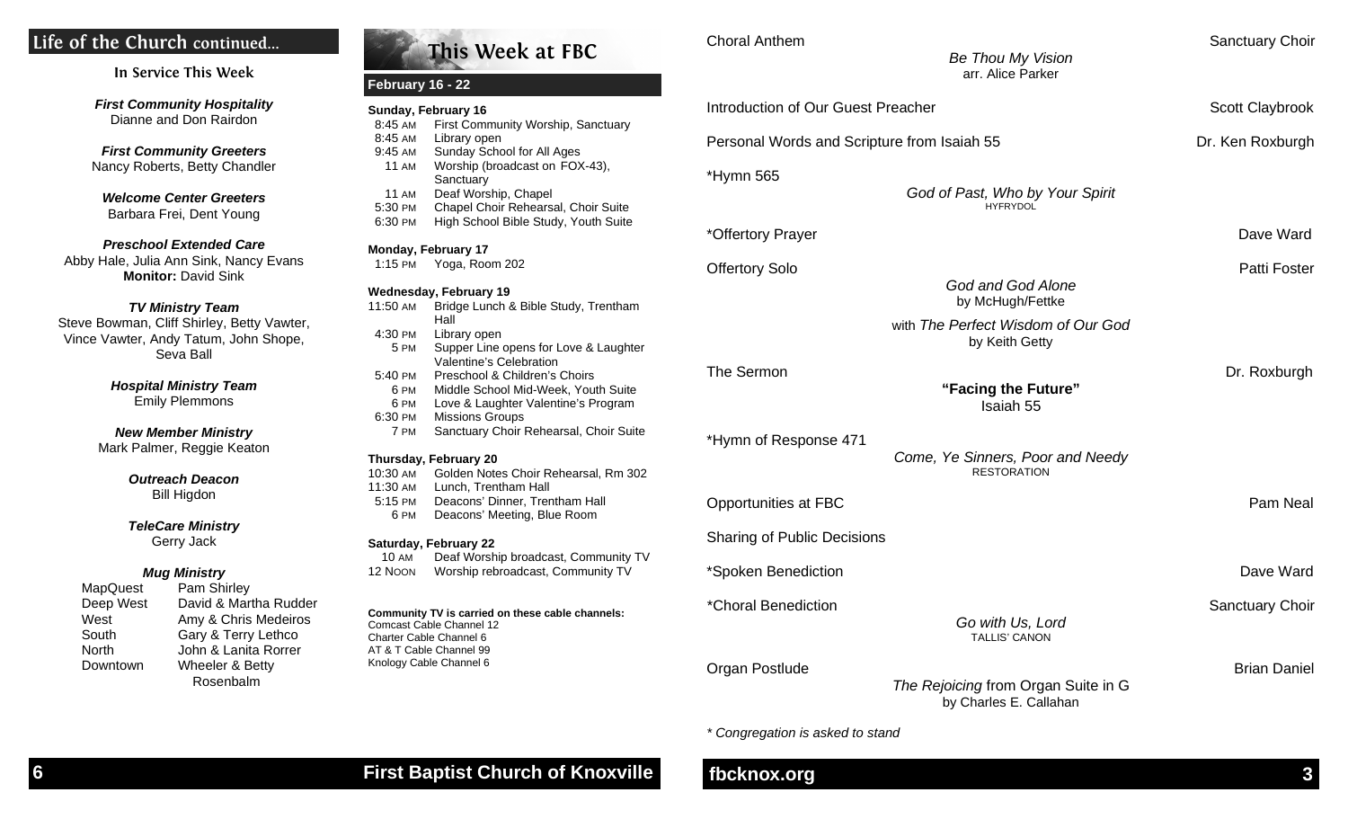# **Life of the Church continued...**

| In Service This Week |  |  |
|----------------------|--|--|
|----------------------|--|--|

**First Community Hospitality** Dianne and Don Rairdon

**First Community Greeters** Nancy Roberts, Betty Chandler

**Welcome Center Greeters** Barbara Frei, Dent Young

**Preschool Extended Care**  Abby Hale, Julia Ann Sink, Nancy Evans **Monitor:** David Sink

#### **TV Ministry Team**

 Steve Bowman, Cliff Shirley, Betty Vawter, Vince Vawter, Andy Tatum, John Shope, Seva Ball

> **Hospital Ministry Team** Emily Plemmons

**New Member Ministry** Mark Palmer, Reggie Keaton

> **Outreach Deacon** Bill Higdon

**TeleCare Ministry** 

## Gerry Jack

#### **Mug Ministry**

 MapQuest Pam Shirley Deep West David & Martha Rudder West Amy & Chris Medeiros South Gary & Terry Lethco North John & Lanita Rorrer Downtown Wheeler & Betty Rosenbalm

|              | Sunday, February 16                                              |
|--------------|------------------------------------------------------------------|
| 8:45 AM      | First Community Worship, Sanctuary                               |
| 8:45 AM      | Library open                                                     |
| 9:45 AM      | Sunday School for All Ages                                       |
| <b>11 AM</b> | Worship (broadcast on FOX-43),                                   |
|              | Sanctuary                                                        |
| <b>11 AM</b> | Deaf Worship, Chapel                                             |
| 5:30 PM      | Chapel Choir Rehearsal, Choir Suite                              |
| 6:30 PM      | High School Bible Study, Youth Suite                             |
|              | Monday, February 17                                              |
| $1:15$ PM    | Yoga, Room 202                                                   |
|              | <b>Wednesday, February 19</b>                                    |
| 11:50 AM     | Bridge Lunch & Bible Study, Trentham<br>Hall                     |
| 4:30 PM      | Library open                                                     |
| 5 PM         | Supper Line opens for Love & Laughter<br>Valentine's Celebration |
| 5:40 PM      | Preschool & Children's Choirs                                    |
| 6 PM         | Middle School Mid-Week, Youth Suite                              |
| 6 PM         | Love & Laughter Valentine's Program                              |
| 6:30 PM      | <b>Missions Groups</b>                                           |
| 7 PM         | Sanctuary Choir Rehearsal, Choir Suite                           |
|              | Thursday, February 20                                            |
| 10:30 AM     | Golden Notes Choir Rehearsal, Rm 302                             |
| 11:30 AM     | Lunch, Trentham Hall                                             |
| 5:15 PM      | Deacons' Dinner, Trentham Hall                                   |
| 6 PM         | Deacons' Meeting, Blue Room                                      |
|              |                                                                  |
|              | <b>Saturday, February 22</b>                                     |
| <b>10 AM</b> | Deaf Worship broadcast, Community TV                             |

**This Week at FBC**

**Choral Anthem Sanctuary Choir** Sanctuary Choir

Be Thou My Vision

|             | arr. Alice Parker                                                               |                     |
|-------------|---------------------------------------------------------------------------------|---------------------|
|             | Introduction of Our Guest Preacher                                              | Scott Claybrook     |
| y           | Personal Words and Scripture from Isaiah 55                                     | Dr. Ken Roxburgh    |
|             | *Hymn 565<br>God of Past, Who by Your Spirit<br><b>HYFRYDOL</b>                 |                     |
| ë           | *Offertory Prayer                                                               | Dave Ward           |
| эm          | <b>Offertory Solo</b><br>God and God Alone<br>by McHugh/Fettke                  | Patti Foster        |
| hter        | with The Perfect Wisdom of Our God<br>by Keith Getty                            |                     |
| ite<br>m    | The Sermon<br>"Facing the Future"<br>Isaiah 55                                  | Dr. Roxburgh        |
| uite<br>302 | *Hymn of Response 471<br>Come, Ye Sinners, Poor and Needy<br><b>RESTORATION</b> |                     |
|             | Opportunities at FBC                                                            | Pam Neal            |
|             | <b>Sharing of Public Decisions</b>                                              |                     |
| y TV<br>V   | *Spoken Benediction                                                             | Dave Ward           |
|             | *Choral Benediction<br>Go with Us, Lord<br>TALLIS' CANON                        | Sanctuary Choir     |
|             | Organ Postlude<br>The Rejoicing from Organ Suite in G                           | <b>Brian Daniel</b> |

by Charles E. Callahan

\* Congregation is asked to stand